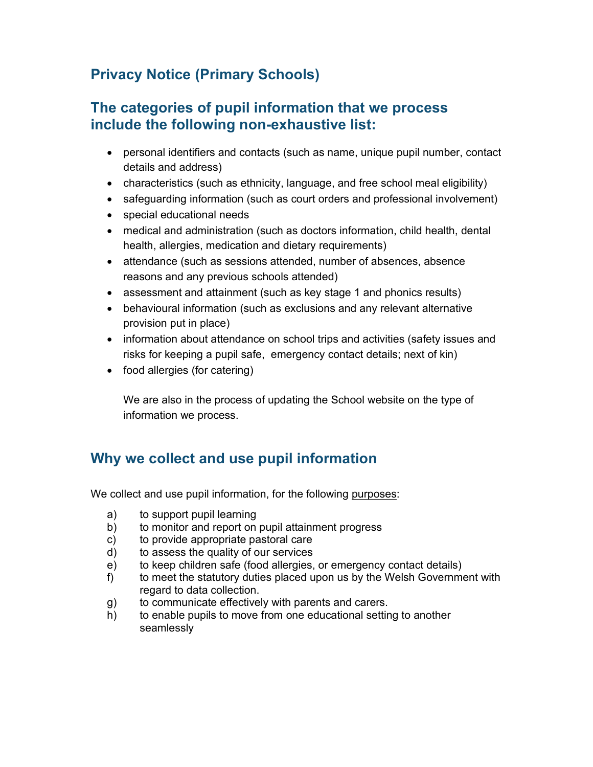# **Privacy Notice (Primary Schools)**

### **The categories of pupil information that we process include the following non-exhaustive list:**

- personal identifiers and contacts (such as name, unique pupil number, contact details and address)
- characteristics (such as ethnicity, language, and free school meal eligibility)
- safeguarding information (such as court orders and professional involvement)
- special educational needs
- medical and administration (such as doctors information, child health, dental health, allergies, medication and dietary requirements)
- attendance (such as sessions attended, number of absences, absence reasons and any previous schools attended)
- assessment and attainment (such as key stage 1 and phonics results)
- behavioural information (such as exclusions and any relevant alternative provision put in place)
- information about attendance on school trips and activities (safety issues and risks for keeping a pupil safe, emergency contact details; next of kin)
- food allergies (for catering)

We are also in the process of updating the School website on the type of information we process.

# **Why we collect and use pupil information**

We collect and use pupil information, for the following purposes:

- a) to support pupil learning
- b) to monitor and report on pupil attainment progress
- c) to provide appropriate pastoral care
- d) to assess the quality of our services
- e) to keep children safe (food allergies, or emergency contact details)
- f) to meet the statutory duties placed upon us by the Welsh Government with regard to data collection.
- g) to communicate effectively with parents and carers.
- h) to enable pupils to move from one educational setting to another seamlessly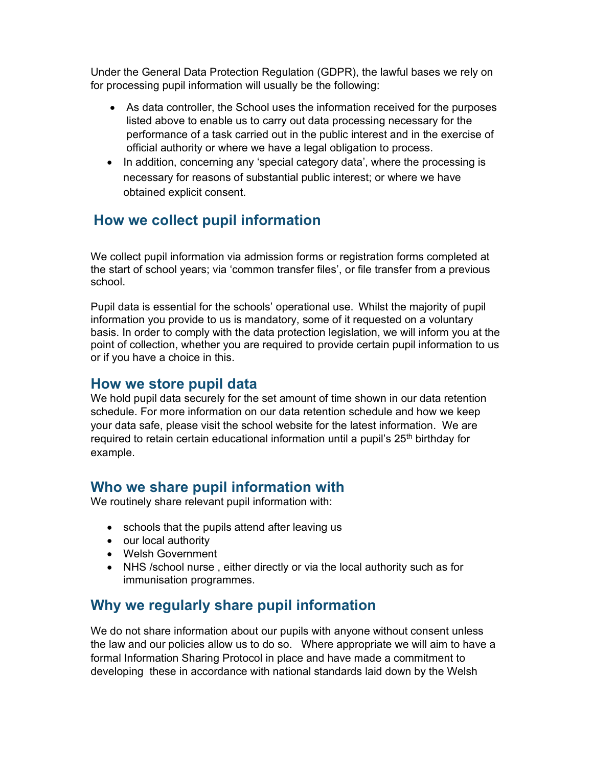Under the General Data Protection Regulation (GDPR), the lawful bases we rely on for processing pupil information will usually be the following:

- As data controller, the School uses the information received for the purposes listed above to enable us to carry out data processing necessary for the performance of a task carried out in the public interest and in the exercise of official authority or where we have a legal obligation to process.
- In addition, concerning any 'special category data', where the processing is necessary for reasons of substantial public interest; or where we have obtained explicit consent.

## **How we collect pupil information**

We collect pupil information via admission forms or registration forms completed at the start of school years; via 'common transfer files', or file transfer from a previous school.

Pupil data is essential for the schools' operational use. Whilst the majority of pupil information you provide to us is mandatory, some of it requested on a voluntary basis. In order to comply with the data protection legislation, we will inform you at the point of collection, whether you are required to provide certain pupil information to us or if you have a choice in this.

#### **How we store pupil data**

We hold pupil data securely for the set amount of time shown in our data retention schedule. For more information on our data retention schedule and how we keep your data safe, please visit the school website for the latest information. We are required to retain certain educational information until a pupil's 25<sup>th</sup> birthday for example.

### **Who we share pupil information with**

We routinely share relevant pupil information with:

- schools that the pupils attend after leaving us
- our local authority
- Welsh Government
- NHS /school nurse , either directly or via the local authority such as for immunisation programmes.

## **Why we regularly share pupil information**

We do not share information about our pupils with anyone without consent unless the law and our policies allow us to do so. Where appropriate we will aim to have a formal Information Sharing Protocol in place and have made a commitment to developing these in accordance with national standards laid down by the Welsh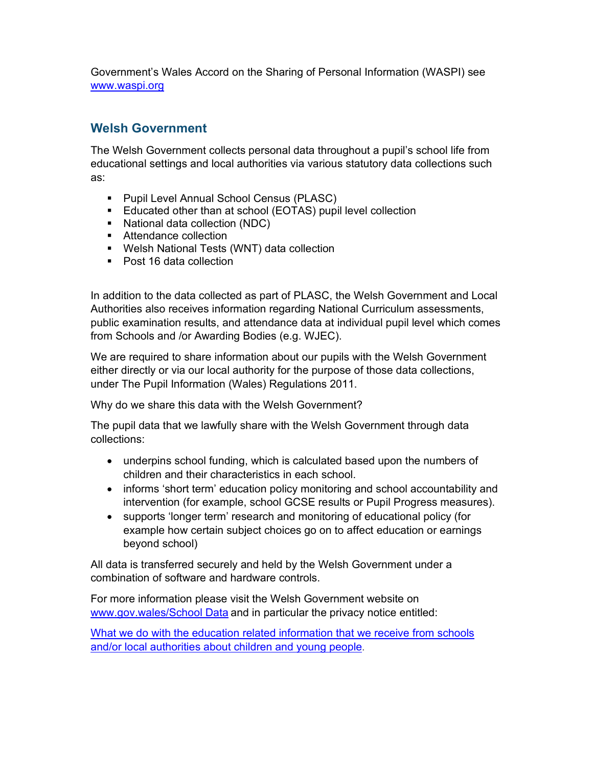Government's Wales Accord on the Sharing of Personal Information (WASPI) see www.waspi.org

#### **Welsh Government**

The Welsh Government collects personal data throughout a pupil's school life from educational settings and local authorities via various statutory data collections such as:

- **Pupil Level Annual School Census (PLASC)**
- Educated other than at school (EOTAS) pupil level collection
- National data collection (NDC)
- **Attendance collection**
- Welsh National Tests (WNT) data collection
- Post 16 data collection

In addition to the data collected as part of PLASC, the Welsh Government and Local Authorities also receives information regarding National Curriculum assessments, public examination results, and attendance data at individual pupil level which comes from Schools and /or Awarding Bodies (e.g. WJEC).

We are required to share information about our pupils with the Welsh Government either directly or via our local authority for the purpose of those data collections, under The Pupil Information (Wales) Regulations 2011.

Why do we share this data with the Welsh Government?

The pupil data that we lawfully share with the Welsh Government through data collections:

- underpins school funding, which is calculated based upon the numbers of children and their characteristics in each school.
- informs 'short term' education policy monitoring and school accountability and intervention (for example, school GCSE results or Pupil Progress measures).
- supports 'longer term' research and monitoring of educational policy (for example how certain subject choices go on to affect education or earnings beyond school)

All data is transferred securely and held by the Welsh Government under a combination of software and hardware controls.

For more information please visit the Welsh Government website on www.gov.wales/School Data</u> and in particular the privacy notice entitled:

What we do with the education related information that we receive from schools and/or local authorities about children and young people.